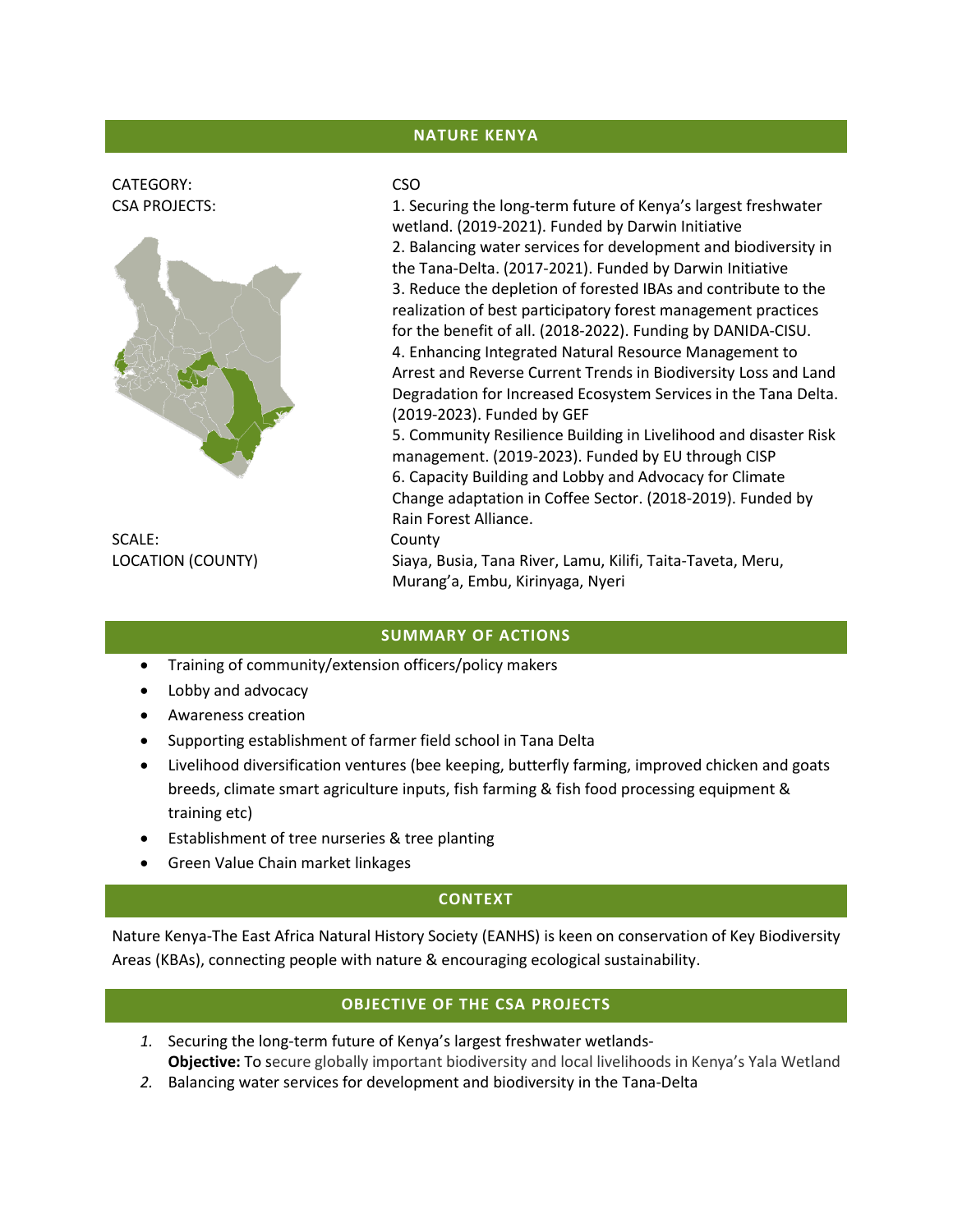# **NATURE KENYA**

# CATEGORY: CSO



SCALE: County

CSA PROJECTS: 1. Securing the long-term future of Kenya's largest freshwater wetland. (2019-2021). Funded by Darwin Initiative 2. Balancing water services for development and biodiversity in the Tana-Delta. (2017-2021). Funded by Darwin Initiative 3. Reduce the depletion of forested IBAs and contribute to the realization of best participatory forest management practices for the benefit of all. (2018-2022). Funding by DANIDA-CISU. 4. Enhancing Integrated Natural Resource Management to Arrest and Reverse Current Trends in Biodiversity Loss and Land Degradation for Increased Ecosystem Services in the Tana Delta. (2019-2023). Funded by GEF

5. Community Resilience Building in Livelihood and disaster Risk management. (2019-2023). Funded by EU through CISP 6. Capacity Building and Lobby and Advocacy for Climate Change adaptation in Coffee Sector. (2018-2019). Funded by Rain Forest Alliance.

LOCATION (COUNTY) Siaya, Busia, Tana River, Lamu, Kilifi, Taita-Taveta, Meru, Murang'a, Embu, Kirinyaga, Nyeri

#### **SUMMARY OF ACTIONS**

- Training of community/extension officers/policy makers
- Lobby and advocacy
- Awareness creation
- Supporting establishment of farmer field school in Tana Delta
- Livelihood diversification ventures (bee keeping, butterfly farming, improved chicken and goats breeds, climate smart agriculture inputs, fish farming & fish food processing equipment & training etc)
- Establishment of tree nurseries & tree planting
- Green Value Chain market linkages

# **CONTEXT**

Nature Kenya-The East Africa Natural History Society (EANHS) is keen on conservation of Key Biodiversity Areas (KBAs), connecting people with nature & encouraging ecological sustainability.

# **OBJECTIVE OF THE CSA PROJECTS**

- *1.* Securing the long-term future of Kenya's largest freshwater wetlands-**Objective:** To secure globally important biodiversity and local livelihoods in Kenya's Yala Wetland
- *2.* Balancing water services for development and biodiversity in the Tana-Delta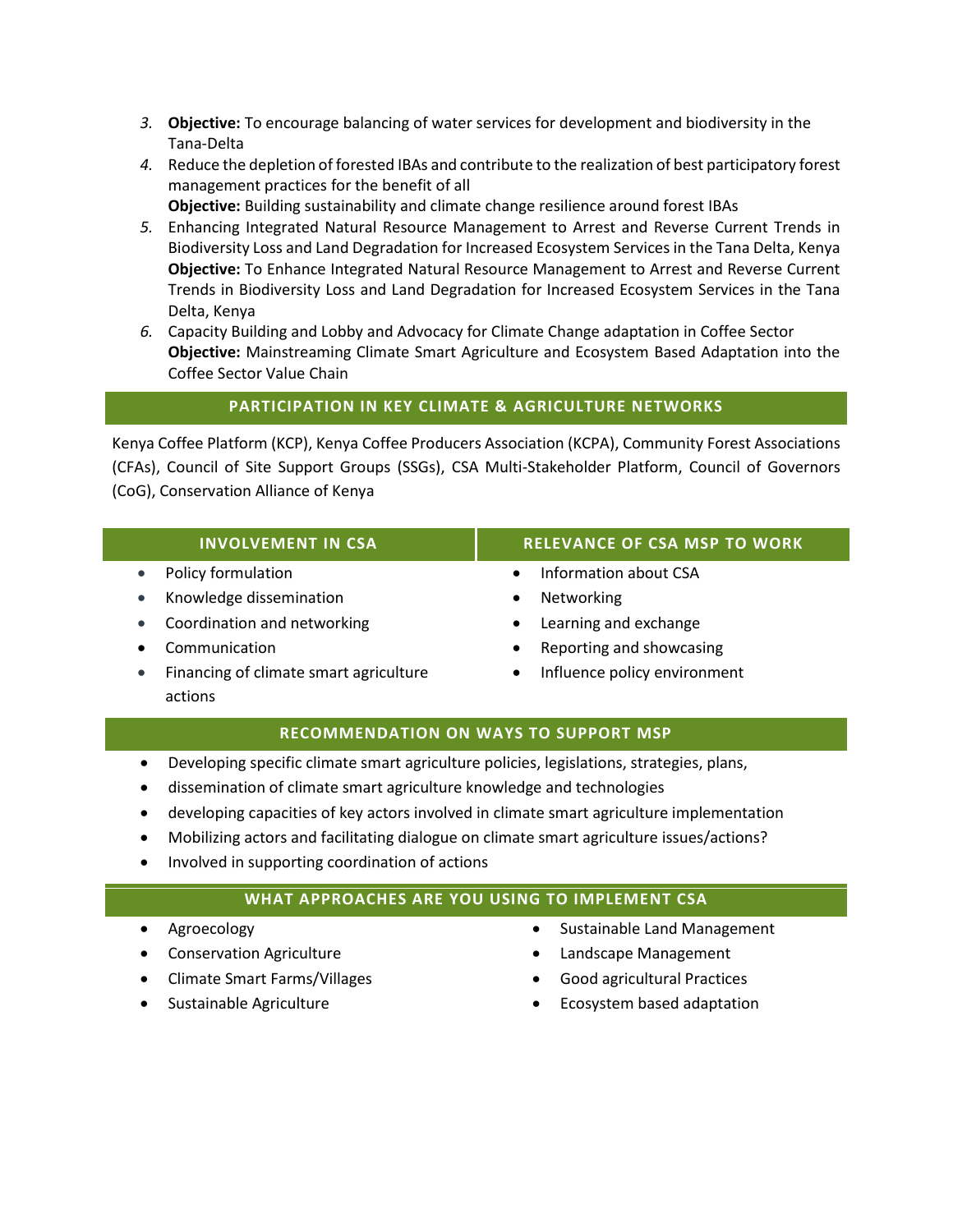- *3.* **Objective:** To encourage balancing of water services for development and biodiversity in the Tana-Delta
- *4.* Reduce the depletion of forested IBAs and contribute to the realization of best participatory forest management practices for the benefit of all **Objective:** Building sustainability and climate change resilience around forest IBAs
- *5.* Enhancing Integrated Natural Resource Management to Arrest and Reverse Current Trends in Biodiversity Loss and Land Degradation for Increased Ecosystem Services in the Tana Delta, Kenya **Objective:** To Enhance Integrated Natural Resource Management to Arrest and Reverse Current Trends in Biodiversity Loss and Land Degradation for Increased Ecosystem Services in the Tana Delta, Kenya

*6.* Capacity Building and Lobby and Advocacy for Climate Change adaptation in Coffee Sector **Objective:** Mainstreaming Climate Smart Agriculture and Ecosystem Based Adaptation into the Coffee Sector Value Chain

# **PARTICIPATION IN KEY CLIMATE & AGRICULTURE NETWORKS**

Kenya Coffee Platform (KCP), Kenya Coffee Producers Association (KCPA), Community Forest Associations (CFAs), Council of Site Support Groups (SSGs), CSA Multi-Stakeholder Platform, Council of Governors (CoG), Conservation Alliance of Kenya

- Policy formulation
- Knowledge dissemination
- Coordination and networking
- Communication
- Financing of climate smart agriculture actions

### **INVOLVEMENT IN CSA RELEVANCE OF CSA MSP TO WORK**

- Information about CSA
- Networking
- Learning and exchange
- Reporting and showcasing
- Influence policy environment

# **RECOMMENDATION ON WAYS TO SUPPORT MSP**

- Developing specific climate smart agriculture policies, legislations, strategies, plans,
- dissemination of climate smart agriculture knowledge and technologies
- developing capacities of key actors involved in climate smart agriculture implementation
- Mobilizing actors and facilitating dialogue on climate smart agriculture issues/actions?
- Involved in supporting coordination of actions

# **WHAT APPROACHES ARE YOU USING TO IMPLEMENT CSA**

- Agroecology
- **•** Conservation Agriculture
- Climate Smart Farms/Villages
- Sustainable Agriculture
- Sustainable Land Management
- Landscape Management
- Good agricultural Practices
- Ecosystem based adaptation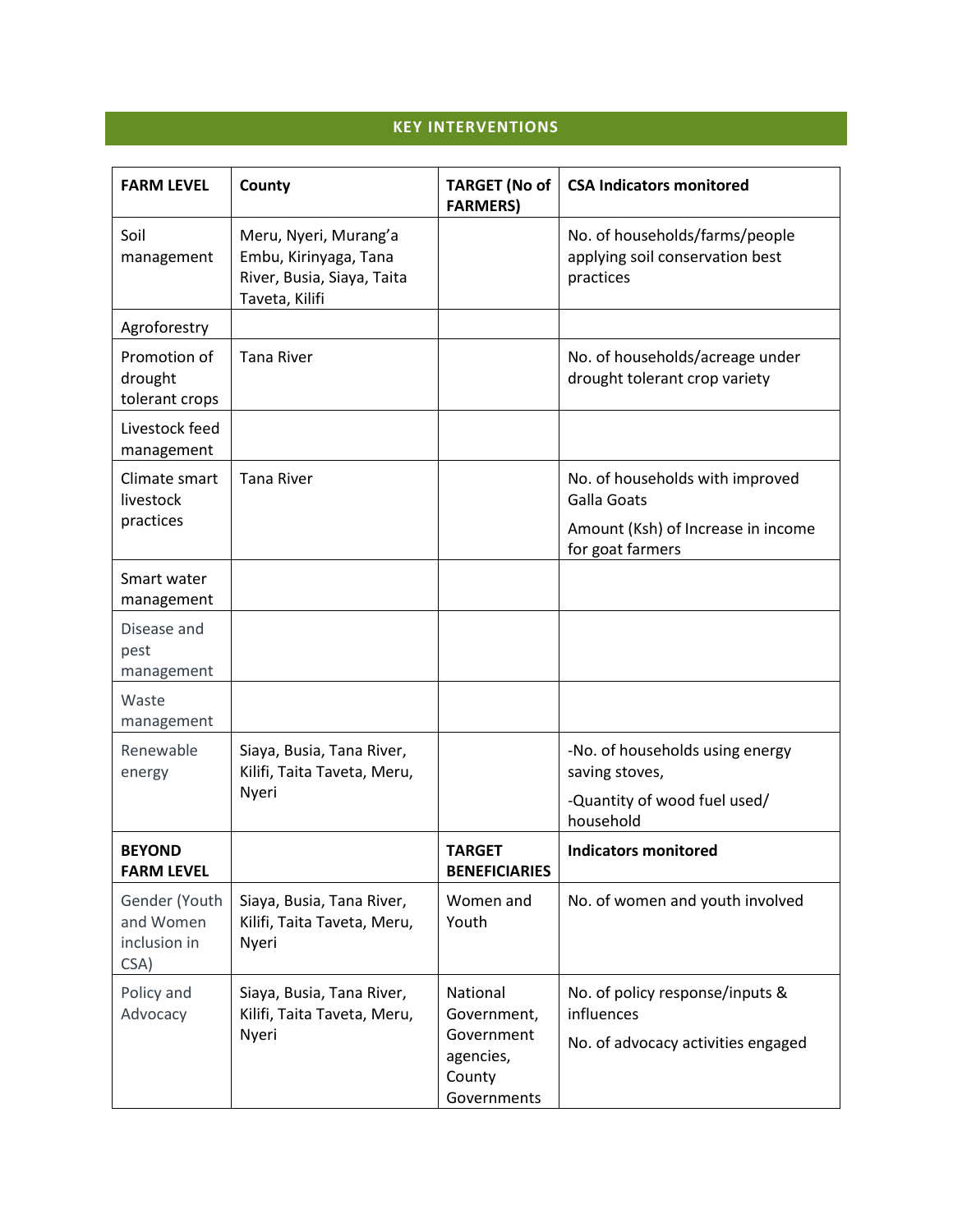# **KEY INTERVENTIONS**

| <b>FARM LEVEL</b>                                  | County                                                                                         | <b>TARGET (No of</b><br><b>FARMERS)</b>                                     | <b>CSA Indicators monitored</b>                                                     |
|----------------------------------------------------|------------------------------------------------------------------------------------------------|-----------------------------------------------------------------------------|-------------------------------------------------------------------------------------|
| Soil<br>management                                 | Meru, Nyeri, Murang'a<br>Embu, Kirinyaga, Tana<br>River, Busia, Siaya, Taita<br>Taveta, Kilifi |                                                                             | No. of households/farms/people<br>applying soil conservation best<br>practices      |
| Agroforestry                                       |                                                                                                |                                                                             |                                                                                     |
| Promotion of<br>drought<br>tolerant crops          | <b>Tana River</b>                                                                              |                                                                             | No. of households/acreage under<br>drought tolerant crop variety                    |
| Livestock feed<br>management                       |                                                                                                |                                                                             |                                                                                     |
| Climate smart<br>livestock                         | <b>Tana River</b>                                                                              |                                                                             | No. of households with improved<br><b>Galla Goats</b>                               |
| practices                                          |                                                                                                |                                                                             | Amount (Ksh) of Increase in income<br>for goat farmers                              |
| Smart water<br>management                          |                                                                                                |                                                                             |                                                                                     |
| Disease and<br>pest<br>management                  |                                                                                                |                                                                             |                                                                                     |
| Waste<br>management                                |                                                                                                |                                                                             |                                                                                     |
| Renewable<br>energy                                | Siaya, Busia, Tana River,<br>Kilifi, Taita Taveta, Meru,<br>Nyeri                              |                                                                             | -No. of households using energy<br>saving stoves,                                   |
|                                                    |                                                                                                |                                                                             | -Quantity of wood fuel used/<br>household                                           |
| <b>BEYOND</b><br><b>FARM LEVEL</b>                 |                                                                                                | <b>TARGET</b><br><b>BENEFICIARIES</b>                                       | <b>Indicators monitored</b>                                                         |
| Gender (Youth<br>and Women<br>inclusion in<br>CSA) | Siaya, Busia, Tana River,<br>Kilifi, Taita Taveta, Meru,<br>Nyeri                              | Women and<br>Youth                                                          | No. of women and youth involved                                                     |
| Policy and<br>Advocacy                             | Siaya, Busia, Tana River,<br>Kilifi, Taita Taveta, Meru,<br>Nyeri                              | National<br>Government,<br>Government<br>agencies,<br>County<br>Governments | No. of policy response/inputs &<br>influences<br>No. of advocacy activities engaged |